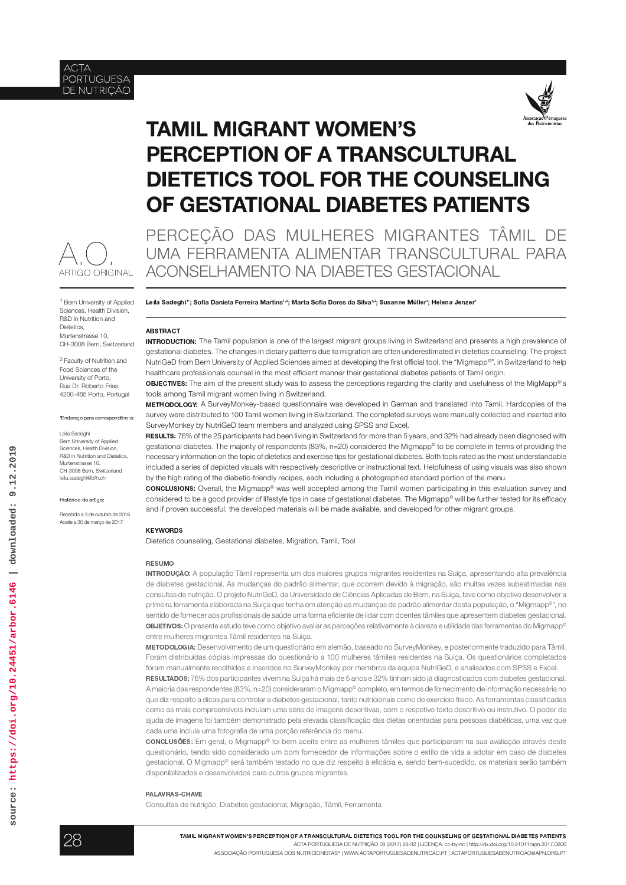



# **TAMIL MIGRANT WOMEN'S PERCEPTION OF A TRANSCULTURAL DIETETICS TOOL FOR THE COUNSELING** OF GESTATIONAL DIABETES PATIENTS



<sup>1</sup> Bern University of Applied Sciences, Health Division. R&D in Nutrition and Dietetics. Murtenstrasse 10. CH-3008 Bern, Switzerland

<sup>2</sup> Faculty of Nutrition and Food Sciences of the **University of Porto** Rua Dr. Roberto Frias 4200-465 Porto, Portugal

\*Endereço para correspondência:

Leila Sadeghi Bern University of Annlied Sciences, Health Division, **B&D** in Nutrition and Dietetics. Murtenstrasse 10. CH-3008 Bern, Switzerland leila.sadeghi@bfh.ch

Histórico do artigo:

Becebido a 3 de outubro de 2016 Aceite a 30 de março de 2017

PERCEÇÃO DAS MULHERES MIGRANTES TÂMIL DE UMA FERRAMENTA ALIMENTAR TRANSCULTURAL PARA ACONSELHAMENTO NA DIABETES GESTACIONAL

Leila Sadeghi': Sofia Daniela Ferreira Martins<sup>12</sup>: Marta Sofia Dores da Silva<sup>12</sup>: Susanne Müller': Helena Jenzer'

## **ARSTRACT**

**INTRODUCTION:** The Tamil population is one of the largest migrant groups living in Switzerland and presents a high prevalence of gestational diabetes. The changes in dietary patterns due to migration are often underestimated in dietetics counseling. The project NutriGeD from Bern University of Applied Sciences aimed at developing the first official tool, the "Migmapp<sup>o</sup>", in Switzerland to help healthcare professionals counsel in the most efficient manner their gestational diabetes patients of Tamil origin

oBJECTIVES: The aim of the present study was to assess the perceptions regarding the clarity and usefulness of the MigMapp®'s tools among Tamil migrant women living in Switzerland.

METHODOLOGY: A SurveyMonkey-based questionnaire was developed in German and translated into Tamil. Hardcopies of the survey were distributed to 100 Tamil women living in Switzerland. The completed surveys were manually collected and inserted into SurveyMonkey by NutriGeD team members and analyzed using SPSS and Excel.

RESULTS: 76% of the 25 participants had been living in Switzerland for more than 5 years, and 32% had already been diagnosed with gestational diabetes. The majority of respondents (83%, n=20) considered the Migmapp<sup>®</sup> to be complete in terms of providing the necessary information on the topic of dietetics and exercise tips for gestational diabetes. Both tools rated as the most understandable included a series of depicted visuals with respectively descriptive or instructional text. Helpfulness of using visuals was also shown by the high rating of the diabetic-friendly recipes, each including a photographed standard portion of the menu.

concLusions: Overall, the Migmapp® was well accepted among the Tamil women participating in this evaluation survey and considered to be a good provider of lifestyle tips in case of gestational diabetes. The Migmapp® will be further tested for its efficacy and if proven successful, the developed materials will be made available, and developed for other migrant groups.

#### **KEYWORDS**

Dietetics counseling, Gestational diabetes, Migration, Tamil, Tool

#### **RESUMO**

INTRODUÇÃO: A população Tâmil representa um dos maiores grupos migrantes residentes na Suíça, apresentando alta prevalência de diabetes gestacional. As mudanças do padrão alimentar, que ocorrem devido à migração, são muitas vezes subestimadas nas consultas de nutrição. O projeto NutriGeD, da Universidade de Ciências Aplicadas de Bern, na Suíça, teve como objetivo desenvolver a primeira ferramenta elaborada na Suíça que tenha em atenção as mudanças de padrão alimentar desta população, o "Migmapp<sup>o</sup>", no sentido de fornecer aos profissionais de saúde uma forma eficiente de lidar com doentes tâmiles que apresentem diabetes gestacional. **OBJETIVOS:** O presente estudo teve como obietivo avaliar as perceções relativamente à clareza e utilidade das ferramentas do Migmapo<sup>6</sup> entre mulheres migrantes Tâmil residentes na Suíça.

METODOLOGIA: Desenvolvimento de um questionário em alemão, baseado no SurveyMonkey, e posteriormente traduzido para Tâmil. Foram distribuídas cópias impressas do questionário a 100 mulheres tâmiles residentes na Suíça. Os questionários completados foram manualmente recolhidos e inseridos no SurveyMonkey por membros da equipa NutriGeD, e analisados com SPSS e Excel.

RESULTADOS: 76% dos participantes vivem na Suíça há mais de 5 anos e 32% tinham sido já diagnosticados com diabetes gestacional. A maioria das respondentes (83%, n=20) consideraram o Migmapp<sup>o</sup> completo, em termos de fornecimento de informação necessária no que diz respeito a dicas para controlar a diabetes gestacional, tanto nutricionais como de exercício físico. As ferramentas classificadas como as mais compreensíveis incluíam uma série de imagens descritivas, com o respetivo texto descritivo ou instrutivo. O poder de ajuda de imagens foi também demonstrado pela elevada classificação das dietas orientadas para pessoas diabéticas, uma vez que cada uma incluía uma fotografia de uma porção referência do menu.

concLusõEs: Em geral, o Migmapp<sup>o</sup> foi bem aceite entre as mulheres tâmiles que participaram na sua avaliação através deste questionário, tendo sido considerado um bom fornecedor de informações sobre o estilo de vida a adotar em caso de diabetes gestacional. O Migmapp<sup>o</sup> será também testado no que diz respeito à eficácia e, sendo bem-sucedido, os materiais serão também disponibilizados e desenvolvidos para outros grupos migrantes.

#### PALAVRAS-CHAVE

Consultas de nutrição, Diabetes gestacional, Migração, Tâmil, Ferramenta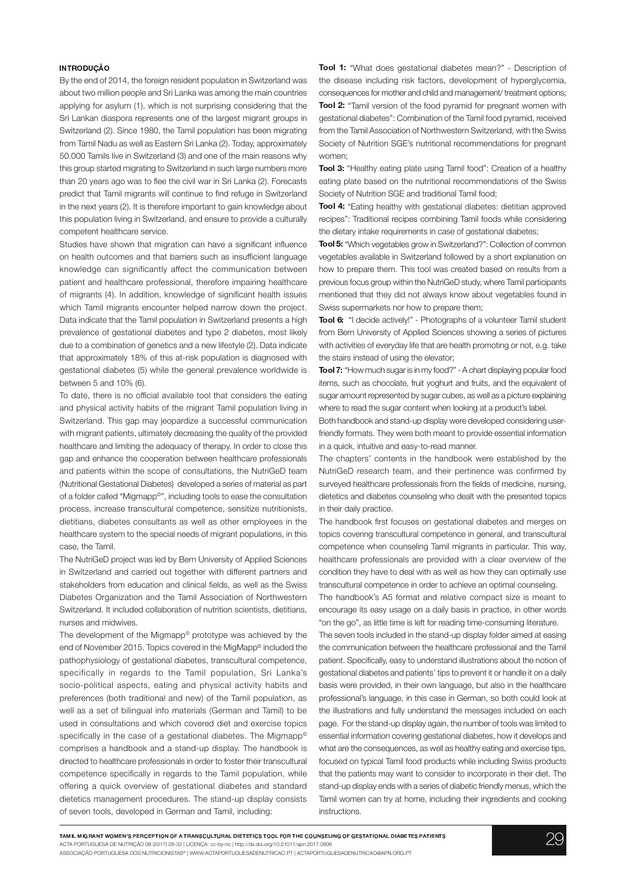# INTRODUCÃO

By the end of 2014, the foreign resident population in Switzerland was about two million people and Sri Lanka was among the main countries applying for asylum (1), which is not surprising considering that the Sri Lankan diaspora represents one of the largest migrant groups in Switzerland (2). Since 1980, the Tamil population has been migrating from Tamil Nadu as well as Eastern Sri Lanka (2). Today, approximately 50.000 Tamils live in Switzerland (3) and one of the main reasons why this group started migrating to Switzerland in such large numbers more than 20 years ago was to flee the civil war in Sri Lanka (2). Forecasts predict that Tamil migrants will continue to find refuge in Switzerland in the next years (2). It is therefore important to gain knowledge about this population living in Switzerland, and ensure to provide a culturally competent healthcare service.

Studies have shown that migration can have a significant influence on health outcomes and that barriers such as insufficient language knowledge can significantly affect the communication between patient and healthcare professional, therefore impairing healthcare of migrants (4). In addition, knowledge of significant health issues which Tamil migrants encounter helped narrow down the project. Data indicate that the Tamil population in Switzerland presents a high prevalence of gestational diabetes and type 2 diabetes, most likely due to a combination of genetics and a new lifestyle (2). Data indicate that approximately 18% of this at-risk population is diagnosed with gestational diabetes (5) while the general prevalence worldwide is between  $5$  and  $10\%$  (6).

To date, there is no official available tool that considers the eating and physical activity habits of the migrant Tamil population living in Switzerland. This gap may jeopardize a successful communication with migrant patients, ultimately decreasing the quality of the provided healthcare and limiting the adequacy of therapy. In order to close this gap and enhance the cooperation between healthcare professionals and patients within the scope of consultations, the NutriGeD team (Nutritional Gestational Diabetes) developed a series of material as part of a folder called "Migmapp<sup>®</sup>", including tools to ease the consultation process, increase transcultural competence, sensitize nutritionists, dietitians, diabetes consultants as well as other employees in the healthcare system to the special needs of migrant populations, in this case, the Tamil.

The NutriGeD project was led by Bern University of Applied Sciences in Switzerland and carried out together with different partners and stakeholders from education and clinical fields, as well as the Swiss Diabetes Organization and the Tamil Association of Northwestern Switzerland. It included collaboration of nutrition scientists, dietitians, nurses and midwives.

The development of the Migmapp<sup>®</sup> prototype was achieved by the end of November 2015. Topics covered in the MigMapp<sup>®</sup> included the pathophysiology of gestational diabetes, transcultural competence, specifically in regards to the Tamil population, Sri Lanka's socio-political aspects, eating and physical activity habits and preferences (both traditional and new) of the Tamil population, as well as a set of bilingual info materials (German and Tamil) to be used in consultations and which covered diet and exercise topics specifically in the case of a gestational diabetes. The Migmapp® comprises a handbook and a stand-up display. The handbook is directed to healthcare professionals in order to foster their transcultural competence specifically in regards to the Tamil population, while offering a quick overview of gestational diabetes and standard dietetics management procedures. The stand-up display consists of seven tools, developed in German and Tamil, including:

Tool 1: "What does gestational diabetes mean?" - Description of the disease including risk factors, development of hyperglycemia, consequences for mother and child and management/treatment options; Tool 2: "Tamil version of the food pyramid for pregnant women with gestational diabetes": Combination of the Tamil food pyramid, received from the Tamil Association of Northwestern Switzerland, with the Swiss Society of Nutrition SGE's nutritional recommendations for pregnant women;

Tool 3: "Healthy eating plate using Tamil food": Creation of a healthy eating plate based on the nutritional recommendations of the Swiss Society of Nutrition SGE and traditional Tamil food;

Tool 4: "Eating healthy with gestational diabetes: dietitian approved recipes": Traditional recipes combining Tamil foods while considering the dietary intake requirements in case of gestational diabetes;

Tool 5: "Which vegetables grow in Switzerland?": Collection of common vegetables available in Switzerland followed by a short explanation on how to prepare them. This tool was created based on results from a previous focus group within the NutriGeD study, where Tamil participants mentioned that they did not always know about vegetables found in Swiss supermarkets nor how to prepare them;

Tool 6: "I decide actively!" - Photographs of a volunteer Tamil student from Bern University of Applied Sciences showing a series of pictures with activities of everyday life that are health promoting or not, e.g. take the stairs instead of using the elevator;

**Tool 7:** "How much sugar is in my food?" - A chart displaying popular food items, such as chocolate, fruit yoghurt and fruits, and the equivalent of sugar amount represented by sugar cubes, as well as a picture explaining where to read the sugar content when looking at a product's label.

Both handbook and stand-up display were developed considering userfriendly formats. They were both meant to provide essential information in a quick, intuitive and easy-to-read manner.

The chapters' contents in the handbook were established by the NutriGeD research team, and their pertinence was confirmed by surveyed healthcare professionals from the fields of medicine, nursing, dietetics and diabetes counseling who dealt with the presented topics in their daily practice.

The handbook first focuses on gestational diabetes and merges on topics covering transcultural competence in general, and transcultural competence when counseling Tamil migrants in particular. This way, healthcare professionals are provided with a clear overview of the condition they have to deal with as well as how they can optimally use transcultural competence in order to achieve an optimal counseling.

The handbook's A5 format and relative compact size is meant to encourage its easy usage on a daily basis in practice, in other words "on the go", as little time is left for reading time-consuming literature.

The seven tools included in the stand-up display folder aimed at easing the communication between the healthcare professional and the Tamil patient. Specifically, easy to understand illustrations about the notion of gestational diabetes and patients' tips to prevent it or handle it on a daily basis were provided, in their own language, but also in the healthcare professional's language, in this case in German, so both could look at the illustrations and fully understand the messages included on each page. For the stand-up display again, the number of tools was limited to essential information covering gestational diabetes, how it develops and what are the consequences, as well as healthy eating and exercise tips, focused on typical Tamil food products while including Swiss products that the patients may want to consider to incorporate in their diet. The stand-up display ends with a series of diabetic friendly menus, which the Tamil women can try at home, including their ingredients and cooking instructions.

TAMIL MIGRANT WOMEN'S PERCEPTION OF A TRANSCULTURAL DIETETICS TOOL FOR THE COUNSELING OF GESTATIONAL DIABETES PATIENTS ACTA PORTUGUESA DE NUTRIÇÃO 08 (2017) 28-32 | LICENCA: cc-by-nc | http://dx.doi.org/10.21011/apn.2017.0806 ASSOCIAÇÃO PORTUGUESA DOS NUTRICIONISTAS® | WWW.ACTAPORTUGUESADENUTRICAO.PT | ACTAPORTUGUESADENUTRICAO@APN.ORG.PT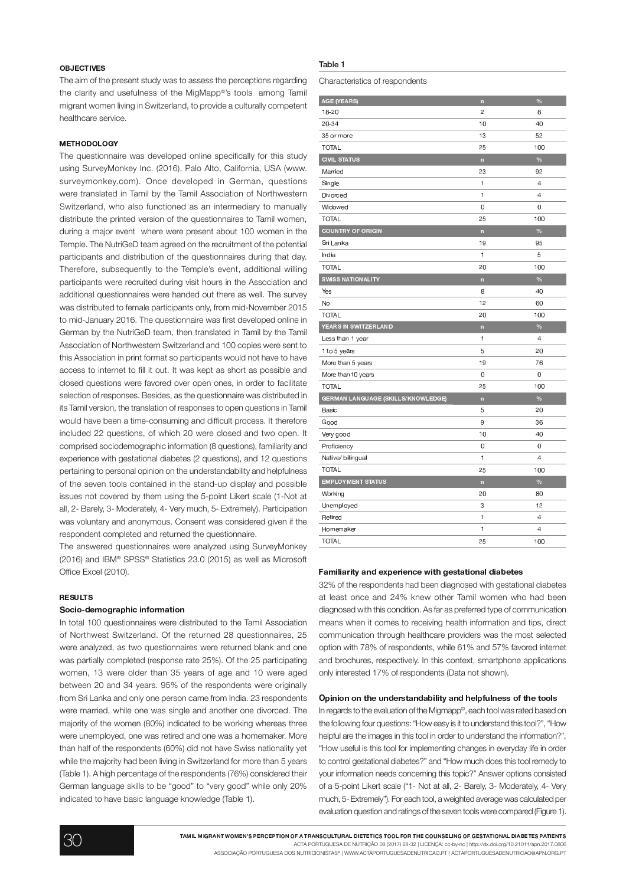# OBJECTIVES

The aim of the present study was to assess the perceptions regarding the clarity and usefulness of the MigMapp<sup>®</sup>'s tools among Tamil migrant women living in Switzerland, to provide a culturally competent healthcare service.

## **METHODOLOGY**

The questionnaire was developed online specifically for this study using SurveyMonkey Inc. (2016), Palo Alto, California, USA (www. surveymonkey.com). Once developed in German, questions were translated in Tamil by the Tamil Association of Northwestern Switzerland, who also functioned as an intermediary to manually distribute the printed version of the questionnaires to Tamil women, during a major event where were present about 100 women in the Temple. The NutriGeD team agreed on the recruitment of the potential participants and distribution of the questionnaires during that day. Therefore, subsequently to the Temple's event, additional willing participants were recruited during visit hours in the Association and additional questionnaires were handed out there as well. The survey was distributed to female participants only, from mid-November 2015 to mid-January 2016. The questionnaire was first developed online in German by the NutriGeD team, then translated in Tamil by the Tamil Association of Northwestern Switzerland and 100 copies were sent to this Association in print format so participants would not have to have access to internet to fill it out. It was kept as short as possible and closed questions were favored over open ones, in order to facilitate selection of responses. Besides, as the questionnaire was distributed in its Tamil version, the translation of responses to open questions in Tamil would have been a time-consuming and difficult process. It therefore included 22 questions, of which 20 were closed and two open. It comprised sociodemographic information (8 questions), familiarity and experience with gestational diabetes (2 questions), and 12 questions pertaining to personal opinion on the understandability and helpfulness of the seven tools contained in the stand-up display and possible issues not covered by them using the 5-point Likert scale (1-Not at all, 2- Barely, 3- Moderately, 4- Very much, 5- Extremely). Participation was voluntary and anonymous. Consent was considered given if the respondent completed and returned the questionnaire.

The answered questionnaires were analyzed using SurveyMonkey (2016) and IBM® SPSS® Statistics 23.0 (2015) as well as Microsoft Office Excel (2010).

### RESULTS.

#### $\bar{f}$  and  $\bar{f}$  is the following the following term of  $\bar{f}$

In total 100 questionnaires were distributed to the Tamil Association of Northwest Switzerland. Of the returned 28 questionnaires, 25 were analyzed, as two questionnaires were returned blank and one was partially completed (response rate 25%). Of the 25 participating women, 13 were older than 35 years of age and 10 were aged between 20 and 34 years. 95% of the respondents were originally from Sri Lanka and only one person came from India. 23 respondents were married, while one was single and another one divorced. The majority of the women (80%) indicated to be working whereas three were unemployed, one was retired and one was a homemaker. More than half of the respondents (60%) did not have Swiss nationality yet while the majority had been living in Switzerland for more than 5 years (Table 1). A high percentage of the respondents (76%) considered their German language skills to be "good" to "very good" while only 20% indicated to have basic language knowledge (Table 1).

# Table 1

Characteristics of respondents

| AGE (YEARS)                        | $\overline{\mathsf{n}}$  | $\%$           |
|------------------------------------|--------------------------|----------------|
| $18 - 20$                          | $\overline{c}$           | 8              |
| $20 - 34$                          | 10                       | 40             |
| 35 or more                         | 13                       | 52             |
| <b>TOTAL</b>                       | 25                       | 100            |
| <b>CIVIL STATUS</b>                | n                        | $\frac{9}{6}$  |
| Married                            | 23                       | 92             |
| Single                             | 1                        | 4              |
| Divorced                           | $\mathbf{1}$             | $\overline{4}$ |
| Widowed                            | 0                        | 0              |
| <b>TOTAL</b>                       | 25                       | 100            |
| <b>COUNTRY OF ORIGIN</b>           | $\overline{\phantom{a}}$ | $\%$           |
| Sri Lanka                          | 19                       | 95             |
| India                              | $\mathbf{1}$             | 5              |
| <b>TOTAL</b>                       | 20                       | 100            |
| <b>SWISS NATIONALITY</b>           | n                        | $\frac{9}{6}$  |
| Yes                                | 8                        | 40             |
| No                                 | 12                       | 60             |
| <b>TOTAL</b>                       | 20                       | 100            |
| YEARS IN SWITZERLAND               |                          | %              |
|                                    | n                        |                |
| Less than 1 year                   | $\mathbf{1}$             | $\overline{4}$ |
| 1 to 5 years                       | 5                        | 20             |
| More than 5 years                  | 19                       | 76             |
| More than10 years                  | 0                        | 0              |
| <b>TOTAL</b>                       | 25                       | 100            |
| GERMAN LANGUAGE (SKILLS/KNOWLEDGE) | n                        | $\frac{9}{6}$  |
| Basic                              | 5                        | 20             |
| Good                               | 9                        | 36             |
| Very good                          | 10                       | 40             |
| Proficiency                        | 0                        | 0              |
| Native/ bilingual                  | $\mathbf{1}$             | $\overline{4}$ |
| TOTAL                              | 25                       | 100            |
| <b>EMPLOYMENT STATUS</b>           | $\overline{a}$           | %              |
| Working                            | 20                       | 80             |
| Unemployed                         | 3                        | 12             |
| Retired                            | $\mathbf{1}$             | 4              |
| Homemaker                          | 1                        | 4              |

# Familiarity and experience with gestational diabetes

32% of the respondents had been diagnosed with gestational diabetes at least once and 24% knew other Tamil women who had been diagnosed with this condition. As far as preferred type of communication means when it comes to receiving health information and tips, direct communication through healthcare providers was the most selected option with 78% of respondents, while 61% and 57% favored internet and brochures, respectively. In this context, smartphone applications only interested 17% of respondents (Data not shown).

#### Opinion on the understandability and helpfulness of the tools

In regards to the evaluation of the Migmapp<sup>®</sup>, each tool was rated based on the following four questions: "How easy is it to understand this tool?", "How helpful are the images in this tool in order to understand the information?", "How useful is this tool for implementing changes in everyday life in order to control gestational diabetes?" and "How much does this tool remedy to your information needs concerning this topic?" Answer options consisted of a 5-point Likert scale ("1- Not at all, 2- Barely, 3- Moderately, 4- Very much, 5- Extremely"). For each tool, a weighted average was calculated per evaluation question and ratings of the seven tools were compared (Figure 1).

TAMIL MIGRANT WOMEN'S PERCEPTION OF A TRANSCULTURAL DIETETICS TOOL FOR THE COUNSELING OF GESTATIONAL DIABETES PATIENTS ACTA PORTUGUESA DE NUTRIÇÃO 08 (2017) 28-32 | LICENCA: cc-by-nc | http://dx.doi.org/10.21011/apn.2017.0806 ASSOCIAÇÃO PORTUGUESA DOS NUTRICIONISTAS® | WWW.ACTAPORTUGUESADENUTRICAO.PT | ACTAPORTUGUESADENUTRICAO@APN.ORG.PT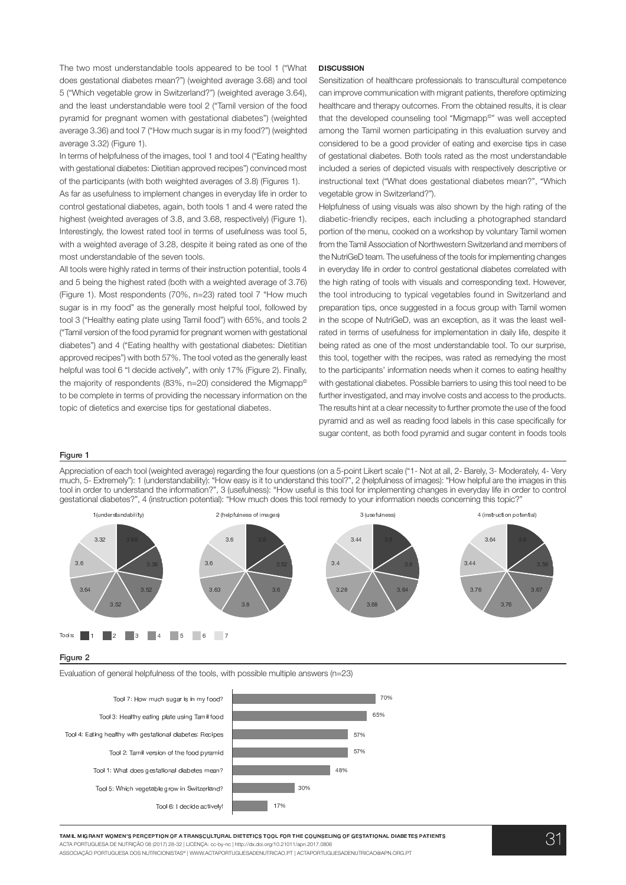The two most understandable tools appeared to be tool 1 ("What does gestational diabetes mean?") (weighted average 3.68) and tool 5 ("Which vegetable grow in Switzerland?") (weighted average 3.64), and the least understandable were tool 2 ("Tamil version of the food pyramid for pregnant women with gestational diabetes") (weighted average 3.36) and tool 7 ("How much sugar is in my food?") (weighted average 3.32) (Figure 1).

In terms of helpfulness of the images, tool 1 and tool 4 ("Eating healthy with gestational diabetes: Dietitian approved recipes") convinced most of the participants (with both weighted averages of 3.8) (Figures 1).

As far as usefulness to implement changes in everyday life in order to control gestational diabetes, again, both tools 1 and 4 were rated the highest (weighted averages of 3.8, and 3.68, respectively) (Figure 1). Interestingly, the lowest rated tool in terms of usefulness was tool 5, with a weighted average of 3.28, despite it being rated as one of the most understandable of the seven tools.

All tools were highly rated in terms of their instruction potential, tools 4 and 5 being the highest rated (both with a weighted average of 3.76) (Figure 1). Most respondents (70%, n=23) rated tool 7 "How much sugar is in my food" as the generally most helpful tool, followed by tool 3 ("Healthy eating plate using Tamil food") with 65%, and tools 2 ("Tamil version of the food pyramid for pregnant women with gestational diabetes") and 4 ("Eating healthy with gestational diabetes: Dietitian approved recipes") with both 57%. The tool voted as the generally least helpful was tool 6 "I decide actively", with only 17% (Figure 2). Finally, the majority of respondents (83%, n=20) considered the Migmapp® to be complete in terms of providing the necessary information on the topic of dietetics and exercise tips for gestational diabetes.

## **DISCUSSION**

Sensitization of healthcare professionals to transcultural competence can improve communication with migrant patients, therefore optimizing healthcare and therapy outcomes. From the obtained results, it is clear that the developed counseling tool "Migmapp<sup>®</sup>" was well accepted among the Tamil women participating in this evaluation survey and considered to be a good provider of eating and exercise tips in case of gestational diabetes. Both tools rated as the most understandable included a series of depicted visuals with respectively descriptive or instructional text ("What does gestational diabetes mean?", "Which vegetable grow in Switzerland?").

Helpfulness of using visuals was also shown by the high rating of the diabetic-friendly recipes, each including a photographed standard portion of the menu, cooked on a workshop by voluntary Tamil women from the Tamil Association of Northwestern Switzerland and members of the NutriGeD team. The usefulness of the tools for implementing changes in everyday life in order to control gestational diabetes correlated with the high rating of tools with visuals and corresponding text. However, the tool introducing to typical vegetables found in Switzerland and preparation tips, once suggested in a focus group with Tamil women in the scope of NutriGeD, was an exception, as it was the least wellrated in terms of usefulness for implementation in daily life, despite it being rated as one of the most understandable tool. To our surprise, this tool, together with the recipes, was rated as remedying the most to the participants' information needs when it comes to eating healthy with gestational diabetes. Possible barriers to using this tool need to be further investigated, and may involve costs and access to the products. The results hint at a clear necessity to further promote the use of the food pyramid and as well as reading food labels in this case specifically for sugar content, as both food pyramid and sugar content in foods tools

# Figure 1

Appreciation of each tool (weighted average) regarding the four questions (on a 5-point Likert scale ("1- Not at all, 2- Barely, 3- Moderately, 4- Very much, 5- Extremely"): 1 (understandability): "How easy is it to understand this tool?", 2 (helpfulness of images): "How helpful are the images in this tool in order to understand the information?", 3 (usefulness): "How useful is this tool for implementing changes in everyday life in order to control gestational diabetes?", 4 (instruction potential): "How much does this tool remedy to your information needs concerning this topic?"



#### Figure 2

Evaluation of general helpfulness of the tools, with possible multiple answers (n=23)



TAMIL MIGRANT WOMEN'S PERCEPTION OF A TRANSCULTURAL DIETETICS TOOL FOR THE COUNSELING OF GESTATIONAL DIABETES PATIENTS ACTA PORTUGUESA DE NUTRIÇÃO 08 (2017) 28-32 | LICENCA: cc-by-nc | http://dx.doi.org/10.21011/apn.2017.0806 ASSOCIAÇÃO PORTUGUESA DOS NUTRICIONISTAS® | WWW.ACTAPORTUGUESADENUTRICAO.PT | ACTAPORTUGUESADENUTRICAO@APN.ORG.PT